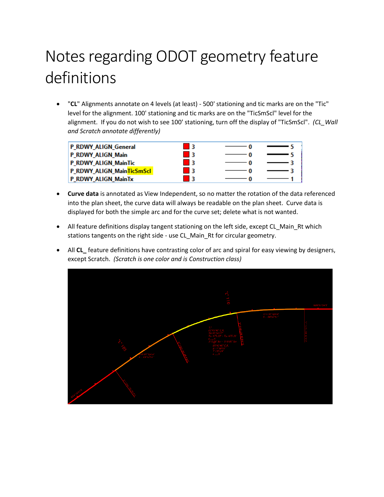## Notes regarding ODOT geometry feature definitions

 "**CL**" Alignments annotate on 4 levels (at least) - 500' stationing and tic marks are on the "Tic" level for the alignment. 100' stationing and tic marks are on the "TicSmScl" level for the alignment. If you do not wish to see 100' stationing, turn off the display of "TicSmScl". *(CL\_Wall and Scratch annotate differently)*

| P_RDWY_ALIGN_General      |  |  |
|---------------------------|--|--|
| P_RDWY_ALIGN_Main         |  |  |
| P_RDWY_ALIGN_MainTic      |  |  |
| P_RDWY_ALIGN_MainTicSmScl |  |  |
| P_RDWY_ALIGN_MainTx       |  |  |

- **Curve data** is annotated as View Independent, so no matter the rotation of the data referenced into the plan sheet, the curve data will always be readable on the plan sheet. Curve data is displayed for both the simple arc and for the curve set; delete what is not wanted.
- All feature definitions display tangent stationing on the left side, except CL\_Main\_Rt which stations tangents on the right side - use CL\_Main\_Rt for circular geometry.
- All **CL\_** feature definitions have contrasting color of arc and spiral for easy viewing by designers, except Scratch. *(Scratch is one color and is Construction class)*